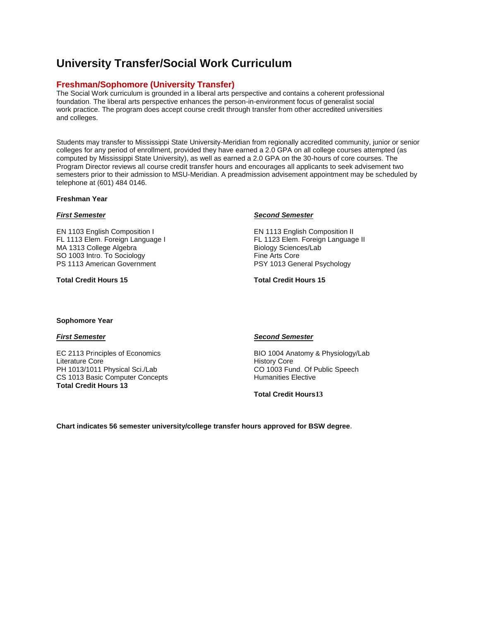# **University Transfer/Social Work Curriculum**

# **Freshman/Sophomore (University Transfer)**

The Social Work curriculum is grounded in a liberal arts perspective and contains a coherent professional foundation. The liberal arts perspective enhances the person-in-environment focus of generalist social work practice. The program does accept course credit through transfer from other accredited universities and colleges.

Students may transfer to Mississippi State University-Meridian from regionally accredited community, junior or senior colleges for any period of enrollment, provided they have earned a 2.0 GPA on all college courses attempted (as computed by Mississippi State University), as well as earned a 2.0 GPA on the 30-hours of core courses. The Program Director reviews all course credit transfer hours and encourages all applicants to seek advisement two semesters prior to their admission to MSU-Meridian. A preadmission advisement appointment may be scheduled by telephone at (601) 484 0146.

## **Freshman Year**

#### *First Semester*

EN 1103 English Composition I FL 1113 Elem. Foreign Language I MA 1313 College Algebra SO 1003 Intro. To Sociology PS 1113 American Government

**Total Credit Hours 15**

#### *Second Semester*

EN 1113 English Composition II FL 1123 Elem. Foreign Language II Biology Sciences/Lab Fine Arts Core PSY 1013 General Psychology

**Total Credit Hours 15**

#### **Sophomore Year**

### *First Semester*

EC 2113 Principles of Economics Literature Core PH 1013/1011 Physical Sci./Lab CS 1013 Basic Computer Concepts **Total Credit Hours 13** 

### *Second Semester*

BIO 1004 Anatomy & Physiology/Lab History Core CO 1003 Fund. Of Public Speech Humanities Elective

**Total Credit Hours13**

**Chart indicates 56 semester university/college transfer hours approved for BSW degree.**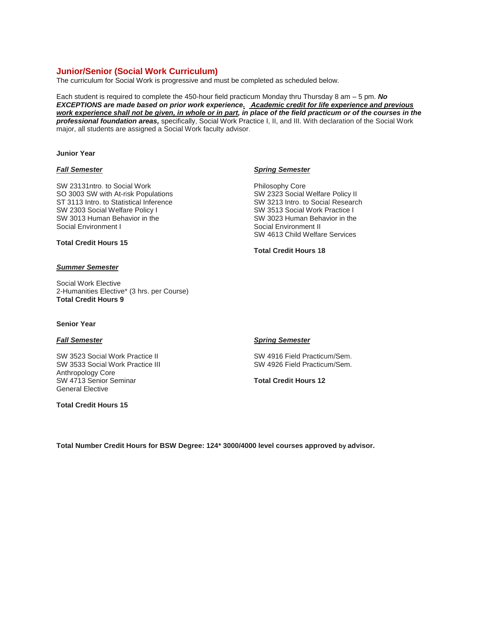# **Junior/Senior (Social Work Curriculum)**

The curriculum for Social Work is progressive and must be completed as scheduled below.

Each student is required to complete the 450-hour field practicum Monday thru Thursday 8 am – 5 pm. *No EXCEPTIONS are made based on prior work experience. Academic credit for life experience and previous work experience shall not be given, in whole or in part, in place of the field practicum or of the courses in the professional foundation areas,* specifically, Social Work Practice I, II, and III. With declaration of the Social Work major, all students are assigned a Social Work faculty advisor.

#### **Junior Year**

#### *Fall Semester*

SW 23131ntro. to Social Work SO 3003 SW with At-risk Populations ST 3113 Intro. to Statistical Inference SW 2303 Social Welfare Policy I SW 3013 Human Behavior in the Social Environment I

#### *Spring Semester*

Philosophy Core SW 2323 Social Welfare Policy II SW 3213 Intro. to Social Research SW 3513 Social Work Practice I SW 3023 Human Behavior in the Social Environment II SW 4613 Child Welfare Services

**Total Credit Hours 18**

# *Summer Semester*

**Total Credit Hours 15**

Social Work Elective 2-Humanities Elective\* (3 hrs. per Course) **Total Credit Hours 9**

### **Senior Year**

## *Fall Semester*

SW 3523 Social Work Practice II SW 3533 Social Work Practice III Anthropology Core SW 4713 Senior Seminar General Elective

**Total Credit Hours 15**

#### *Spring Semester*

SW 4916 Field Practicum/Sem. SW 4926 Field Practicum/Sem.

**Total Credit Hours 12**

**Total Number Credit Hours for BSW Degree: 124\* 3000/4000 level courses approved by advisor.**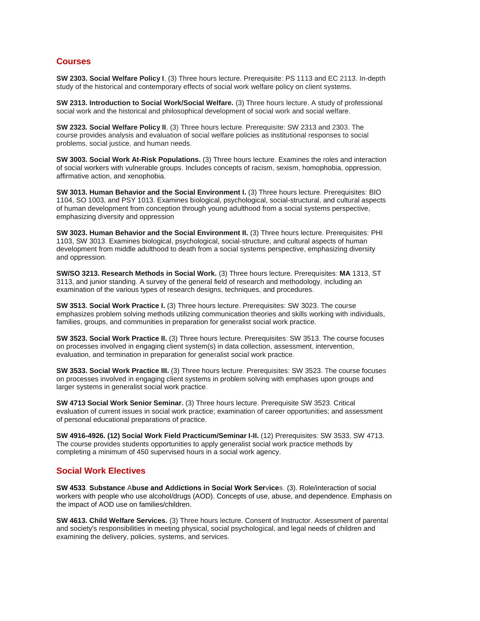# **Courses**

**SW 2303. Social Welfare Policy I**. (3) Three hours lecture. Prerequisite: PS 1113 and EC 2113. In-depth study of the historical and contemporary effects of social work welfare policy on client systems.

**SW 2313. Introduction to Social Work/Social Welfare.** (3) Three hours lecture. A study of professional social work and the historical and philosophical development of social work and social welfare.

**SW 2323. Social Welfare Policy II**. (3) Three hours lecture. Prerequisite: SW 2313 and 2303. The course provides analysis and evaluation of social welfare policies as institutional responses to social problems, social justice, and human needs.

**SW 3003. Social Work At-Risk Populations.** (3) Three hours lecture. Examines the roles and interaction of social workers with vulnerable groups. Includes concepts of racism, sexism, homophobia, oppression, affirmative action, and xenophobia.

**SW 3013. Human Behavior and the Social Environment I. (3) Three hours lecture. Prerequisites: BIO** 1104, SO 1003, and PSY 1013. Examines biological, psychological, social-structural, and cultural aspects of human development from conception through young adulthood from a social systems perspective, emphasizing diversity and oppression

**SW 3023. Human Behavior and the Social Environment II.** (3) Three hours lecture. Prerequisites: PHI 1103, SW 3013. Examines biological, psychological, social-structure, and cultural aspects of human development from middle adulthood to death from a social systems perspective, emphasizing diversity and oppression.

**SW/SO 3213. Research Methods in Social Work.** (3) Three hours lecture. Prerequisites: **MA** 1313, ST 3113, and junior standing. A survey of the general field of research and methodology, including an examination of the various types of research designs, techniques, and procedures.

**SW 3513. Social Work Practice I.** (3) Three hours lecture. Prerequisites: SW 3023. The course emphasizes problem solving methods utilizing communication theories and skills working with individuals, families, groups, and communities in preparation for generalist social work practice.

**SW 3523. Social Work Practice II.** (3) Three hours lecture. Prerequisites: SW 3513. The course focuses on processes involved in engaging client system(s) in data collection, assessment, intervention, evaluation, and termination in preparation for generalist social work practice.

**SW 3533. Social Work Practice III.** (3) Three hours lecture. Prerequisites: SW 3523. The course focuses on processes involved in engaging client systems in problem solving with emphases upon groups and larger systems in generalist social work practice.

**SW 4713 Social Work Senior Seminar.** (3) Three hours lecture. Prerequisite SW 3523. Critical evaluation of current issues in social work practice; examination of career opportunities; and assessment of personal educational preparations of practice.

**SW 4916-4926. (12) Social Work Field Practicum/Seminar I-II.** (12) Prerequisites: SW 3533, SW 4713. The course provides students opportunities to apply generalist social work practice methods by completing a minimum of 450 supervised hours in a social work agency.

# **Social Work Electives**

**SW 4533**. **Substance Abuse and Addictions in Social Work Services**. (3). Role/interaction of social workers with people who use alcohol/drugs (AOD). Concepts of use, abuse, and dependence. Emphasis on the impact of AOD use on families/children.

**SW 4613. Child Welfare Services.** (3) Three hours lecture. Consent of Instructor. Assessment of parental and society's responsibilities in meeting physical, social psychological, and legal needs of children and examining the delivery, policies, systems, and services.